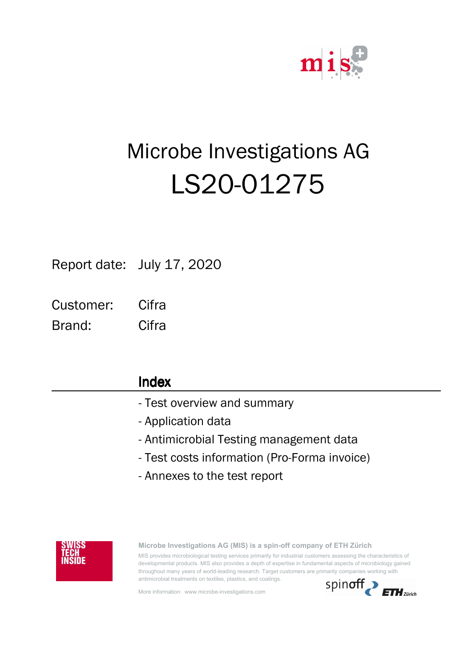

# ShiftRelativT Microbe Investigations AG LS20-01275

Report date: July 17, 2020

**Cifra** Customer:

Brand: Cifra

## Index

- Test overview and summary
- Application data
- Antimicrobial Testing management data
- Test costs information (Pro-Forma invoice)
- Annexes to the test report



**Microbe Investigations AG (MIS) is a spin-off company of ETH Zürich** MIS provides microbiological testing services primarily for industrial customers assessing the characteristics of developmental products. MIS also provides a depth of expertise in fundamental aspects of microbiology gained throughout many years of world-leading research. Target customers are primarily companies working with

More information: www.microbe-investigations.com

antimicrobial treatments on textiles, plastics, and coatings.

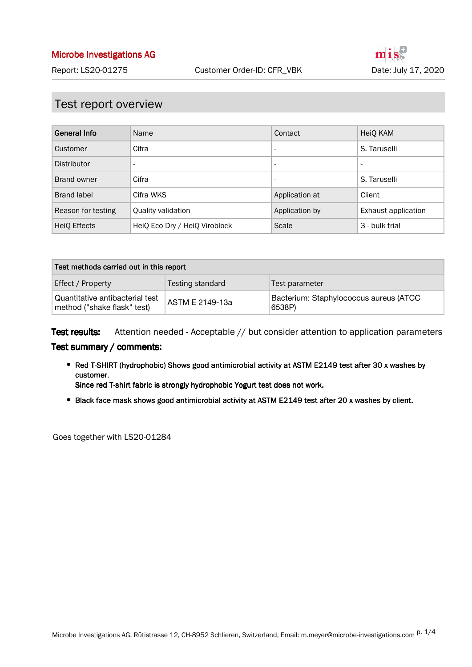#### Test report overview

| <b>General Info</b> | Name                          | Contact                  | HeiQ KAM                 |
|---------------------|-------------------------------|--------------------------|--------------------------|
| Customer            | Cifra                         | -                        | S. Taruselli             |
| Distributor         | $\overline{\phantom{a}}$      | $\overline{\phantom{a}}$ | $\overline{\phantom{a}}$ |
| Brand owner         | Cifra                         | -                        | S. Taruselli             |
| Brand label         | Cifra WKS                     | Application at           | Client                   |
| Reason for testing  | Quality validation            | Application by           | Exhaust application      |
| HeiQ Effects        | HeiQ Eco Dry / HeiQ Viroblock | Scale                    | 3 - bulk trial           |

| Test methods carried out in this report                        |                  |                                                  |  |  |  |
|----------------------------------------------------------------|------------------|--------------------------------------------------|--|--|--|
| Effect / Property                                              | Testing standard | Test parameter                                   |  |  |  |
| Quantitative antibacterial test<br>method ("shake flask" test) | ASTM E 2149-13a  | Bacterium: Staphylococcus aureus (ATCC<br>6538P) |  |  |  |

Attention needed - Acceptable // but consider attention to application parameters Test results:

#### Test summary / comments:

• Red T-SHIRT (hydrophobic) Shows good antimicrobial activity at ASTM E2149 test after 30 x washes by customer.

Since red T-shirt fabric is strongly hydrophobic Yogurt test does not work.

Black face mask shows good antimicrobial activity at ASTM E2149 test after 20 x washes by client.

Goes together with LS20-01284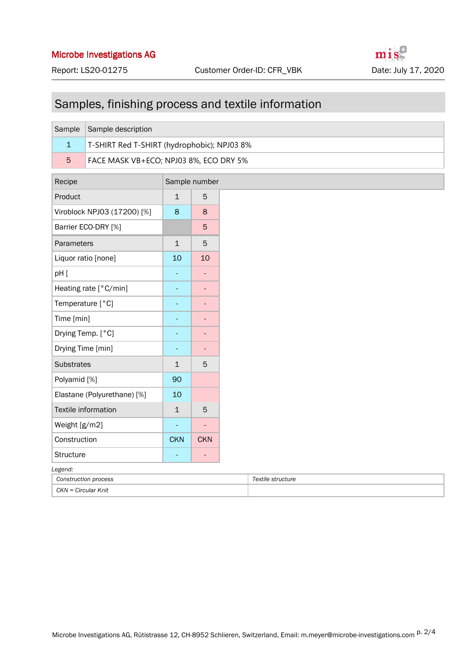# Samples, finishing process and textile information

| Sample                  | Sample description                          |  |   |  |  |  |
|-------------------------|---------------------------------------------|--|---|--|--|--|
| $\mathbf{1}$            | T-SHIRT Red T-SHIRT (hydrophobic); NPJ03 8% |  |   |  |  |  |
| 5                       | FACE MASK VB+ECO; NPJ03 8%, ECO DRY 5%      |  |   |  |  |  |
| Recipe<br>Sample number |                                             |  |   |  |  |  |
| Product                 |                                             |  | 5 |  |  |  |

| Product                     | $\mathbf{1}$ | 5          |  |  |  |
|-----------------------------|--------------|------------|--|--|--|
| Viroblock NPJ03 (17200) [%] | 8            | 8          |  |  |  |
| Barrier ECO-DRY [%]         |              | 5          |  |  |  |
| Parameters                  | $\mathbf 1$  | 5          |  |  |  |
| Liquor ratio [none]         | 10           | 10         |  |  |  |
| pH [                        |              |            |  |  |  |
| Heating rate [°C/min]       |              |            |  |  |  |
| Temperature [°C]            |              |            |  |  |  |
| Time $[min]$                |              |            |  |  |  |
| Drying Temp. [°C]           |              |            |  |  |  |
| Drying Time [min]           |              |            |  |  |  |
| <b>Substrates</b>           | 1            | 5          |  |  |  |
| Polyamid [%]                | 90           |            |  |  |  |
| Elastane (Polyurethane) [%] | 10           |            |  |  |  |
| Textile information         | $\mathbf{1}$ | 5          |  |  |  |
| Weight [g/m2]               |              |            |  |  |  |
| Construction                | <b>CKN</b>   | <b>CKN</b> |  |  |  |
| <b>Structure</b>            |              |            |  |  |  |
| Legend:                     |              |            |  |  |  |
| Construction process        |              |            |  |  |  |
| CKN = Circular Knit         |              |            |  |  |  |

*Construction process Textile structure*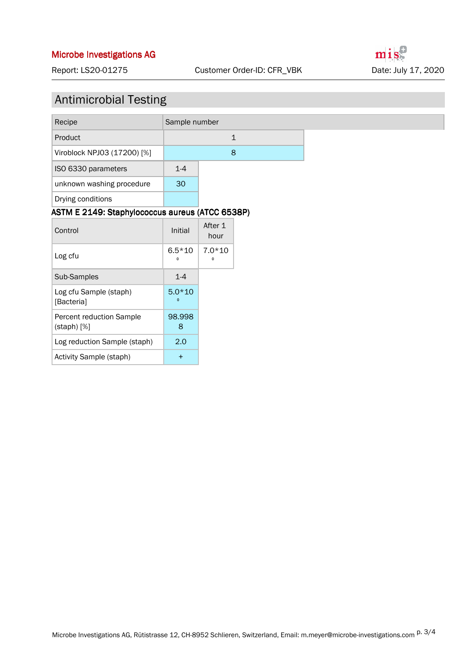#### Report: LS20-01275 Customer Order-ID: CFR\_VBK Date: July 17, 2020

mis

# Antimicrobial Testing

| Recipe                                          | Sample number            |                       |         |
|-------------------------------------------------|--------------------------|-----------------------|---------|
| Product                                         | $\mathbf{1}$             |                       |         |
| Viroblock NPJ03 (17200) [%]                     |                          |                       | $\bf 8$ |
| ISO 6330 parameters                             | $1-4$                    |                       |         |
| unknown washing procedure                       | 30                       |                       |         |
| Drying conditions                               |                          |                       |         |
| ASTM E 2149: Staphylococcus aureus (ATCC 6538P) |                          |                       |         |
| Control                                         | Initial                  | After 1<br>hour       |         |
| Log cfu                                         | $6.5*10$<br>$\pmb{0}$    | $7.0*10$<br>$\pmb{0}$ |         |
| Sub-Samples                                     | $1-4$                    |                       |         |
| Log cfu Sample (staph)<br>[Bacteria]            | $5.0*10$<br>$\mathbf{0}$ |                       |         |
| Percent reduction Sample<br>$($ staph $)$ $[%]$ | 98.998<br>8              |                       |         |
| Log reduction Sample (staph)                    | 2.0                      |                       |         |
| Activity Sample (staph)                         | $+$                      |                       |         |